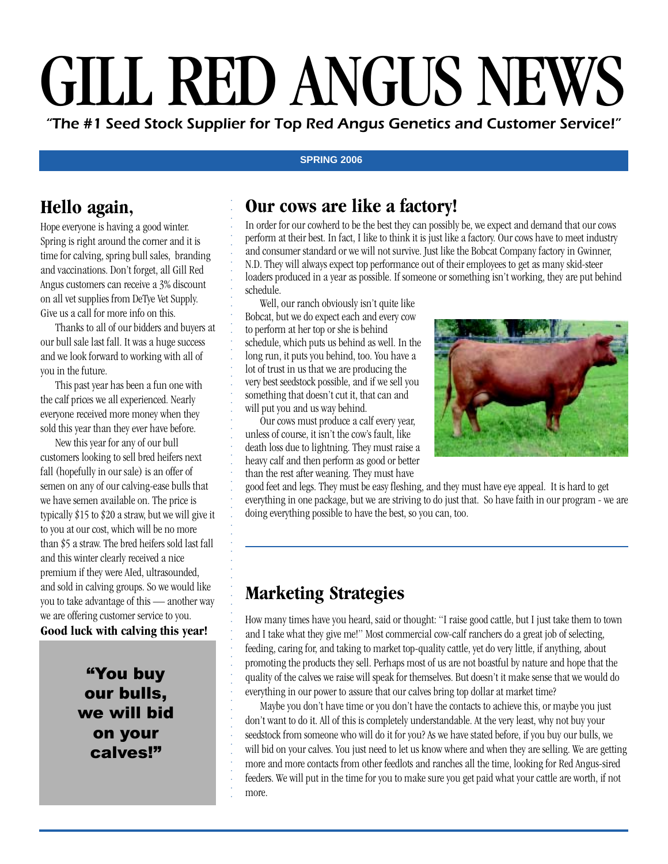# GILL RED ANGUS NEWS

"The #1 Seed Stock Supplier for Top Red Angus Genetics and Customer Service!"

### **SPRING 2006**

# **Hello again,**

Hope everyone is having a good winter. Spring is right around the corner and it is time for calving, spring bull sales, branding and vaccinations. Don't forget, all Gill Red Angus customers can receive a 3% discount on all vet supplies from DeTye Vet Supply. Give us a call for more info on this.

Thanks to all of our bidders and buyers at our bull sale last fall. It was a huge success and we look forward to working with all of you in the future.

This past year has been a fun one with the calf prices we all experienced. Nearly everyone received more money when they sold this year than they ever have before.

New this year for any of our bull customers looking to sell bred heifers next fall (hopefully in our sale) is an offer of semen on any of our calving-ease bulls that we have semen available on. The price is typically \$15 to \$20 a straw, but we will give it to you at our cost, which will be no more than \$5 a straw. The bred heifers sold last fall and this winter clearly received a nice premium if they were AIed, ultrasounded, and sold in calving groups. So we would like you to take advantage of this — another way we are offering customer service to you.

**Good luck with calving this year!**

"You buy our bulls, we will bid on your calves!"

## **Our cows are like a factory!**

In order for our cowherd to be the best they can possibly be, we expect and demand that our cows perform at their best. In fact, I like to think it is just like a factory. Our cows have to meet industry and consumer standard or we will not survive. Just like the Bobcat Company factory in Gwinner, N.D. They will always expect top performance out of their employees to get as many skid-steer loaders produced in a year as possible. If someone or something isn't working, they are put behind schedule.

Well, our ranch obviously isn't quite like Bobcat, but we do expect each and every cow to perform at her top or she is behind schedule, which puts us behind as well. In the long run, it puts you behind, too. You have a lot of trust in us that we are producing the very best seedstock possible, and if we sell you something that doesn't cut it, that can and will put you and us way behind.

Our cows must produce a calf every year, unless of course, it isn't the cow's fault, like death loss due to lightning. They must raise a heavy calf and then perform as good or better than the rest after weaning. They must have

○○○○○○○○○○○○○○○○○○○○○○○○○○○○○○○○○○○○○○○○○○○○○○○○○○○○○○○○○○○○○○○○

○○○○○



good feet and legs. They must be easy fleshing, and they must have eye appeal. It is hard to get everything in one package, but we are striving to do just that. So have faith in our program - we are doing everything possible to have the best, so you can, too.

# **Marketing Strategies**

How many times have you heard, said or thought: "I raise good cattle, but I just take them to town and I take what they give me!" Most commercial cow-calf ranchers do a great job of selecting, feeding, caring for, and taking to market top-quality cattle, yet do very little, if anything, about promoting the products they sell. Perhaps most of us are not boastful by nature and hope that the quality of the calves we raise will speak for themselves. But doesn't it make sense that we would do everything in our power to assure that our calves bring top dollar at market time?

Maybe you don't have time or you don't have the contacts to achieve this, or maybe you just don't want to do it. All of this is completely understandable. At the very least, why not buy your seedstock from someone who will do it for you? As we have stated before, if you buy our bulls, we will bid on your calves. You just need to let us know where and when they are selling. We are getting more and more contacts from other feedlots and ranches all the time, looking for Red Angus-sired feeders. We will put in the time for you to make sure you get paid what your cattle are worth, if not more.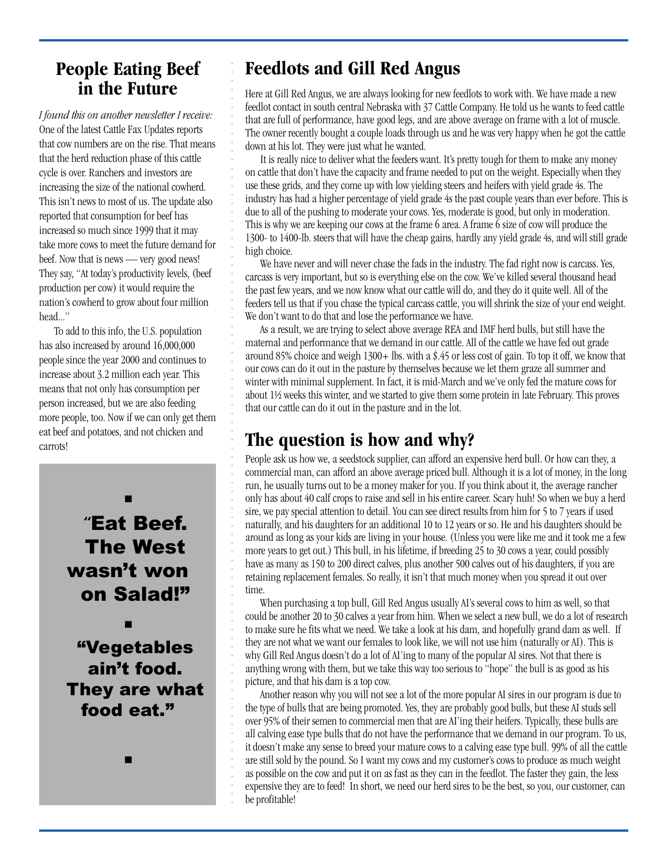## **People Eating Beef in the Future**

*I found this on another newsletter I receive:* One of the latest Cattle Fax Updates reports that cow numbers are on the rise. That means that the herd reduction phase of this cattle cycle is over. Ranchers and investors are increasing the size of the national cowherd. This isn't news to most of us. The update also reported that consumption for beef has increased so much since 1999 that it may take more cows to meet the future demand for beef. Now that is news — very good news! They say, "At today's productivity levels, (beef production per cow) it would require the nation's cowherd to grow about four million head..."

○○○○○○○○○○○○○○○○○○○○○○○○○○○○○○○○○○○○○○

○○○○○○○○○○○○○○○○○○○○○○○○○○○○○○○○○○○○○○○○○○○○○○○○

To add to this info, the U.S. population has also increased by around 16,000,000 people since the year 2000 and continues to increase about 3.2 million each year. This means that not only has consumption per person increased, but we are also feeding more people, too. Now if we can only get them eat beef and potatoes, and not chicken and carrots!

# "Eat Beef. The West wasn't won on Salad!"

■

■

"Vegetables ain't food. They are what food eat."

■

# **Feedlots and Gill Red Angus**

Here at Gill Red Angus, we are always looking for new feedlots to work with. We have made a new feedlot contact in south central Nebraska with 37 Cattle Company. He told us he wants to feed cattle that are full of performance, have good legs, and are above average on frame with a lot of muscle. The owner recently bought a couple loads through us and he was very happy when he got the cattle down at his lot. They were just what he wanted.

It is really nice to deliver what the feeders want. It's pretty tough for them to make any money on cattle that don't have the capacity and frame needed to put on the weight. Especially when they use these grids, and they come up with low yielding steers and heifers with yield grade 4s. The industry has had a higher percentage of yield grade 4s the past couple years than ever before. This is due to all of the pushing to moderate your cows. Yes, moderate is good, but only in moderation. This is why we are keeping our cows at the frame 6 area. A frame 6 size of cow will produce the 1300- to 1400-lb. steers that will have the cheap gains, hardly any yield grade 4s, and will still grade high choice.

We have never and will never chase the fads in the industry. The fad right now is carcass. Yes, carcass is very important, but so is everything else on the cow. We've killed several thousand head the past few years, and we now know what our cattle will do, and they do it quite well. All of the feeders tell us that if you chase the typical carcass cattle, you will shrink the size of your end weight. We don't want to do that and lose the performance we have.

As a result, we are trying to select above average REA and IMF herd bulls, but still have the maternal and performance that we demand in our cattle. All of the cattle we have fed out grade around 85% choice and weigh 1300+ lbs. with a \$.45 or less cost of gain. To top it off, we know that our cows can do it out in the pasture by themselves because we let them graze all summer and winter with minimal supplement. In fact, it is mid-March and we've only fed the mature cows for about 1½ weeks this winter, and we started to give them some protein in late February. This proves that our cattle can do it out in the pasture and in the lot.

## **The question is how and why?**

People ask us how we, a seedstock supplier, can afford an expensive herd bull. Or how can they, a commercial man, can afford an above average priced bull. Although it is a lot of money, in the long run, he usually turns out to be a money maker for you. If you think about it, the average rancher only has about 40 calf crops to raise and sell in his entire career. Scary huh! So when we buy a herd sire, we pay special attention to detail. You can see direct results from him for 5 to 7 years if used naturally, and his daughters for an additional 10 to 12 years or so. He and his daughters should be around as long as your kids are living in your house. (Unless you were like me and it took me a few more years to get out.) This bull, in his lifetime, if breeding 25 to 30 cows a year, could possibly have as many as 150 to 200 direct calves, plus another 500 calves out of his daughters, if you are retaining replacement females. So really, it isn't that much money when you spread it out over time.

When purchasing a top bull, Gill Red Angus usually AI's several cows to him as well, so that could be another 20 to 30 calves a year from him. When we select a new bull, we do a lot of research to make sure he fits what we need. We take a look at his dam, and hopefully grand dam as well. If they are not what we want our females to look like, we will not use him (naturally or AI). This is why Gill Red Angus doesn't do a lot of AI'ing to many of the popular AI sires. Not that there is anything wrong with them, but we take this way too serious to "hope" the bull is as good as his picture, and that his dam is a top cow.

Another reason why you will not see a lot of the more popular AI sires in our program is due to the type of bulls that are being promoted. Yes, they are probably good bulls, but these AI studs sell over 95% of their semen to commercial men that are AI'ing their heifers. Typically, these bulls are all calving ease type bulls that do not have the performance that we demand in our program. To us, it doesn't make any sense to breed your mature cows to a calving ease type bull. 99% of all the cattle are still sold by the pound. So I want my cows and my customer's cows to produce as much weight as possible on the cow and put it on as fast as they can in the feedlot. The faster they gain, the less expensive they are to feed! In short, we need our herd sires to be the best, so you, our customer, can be profitable!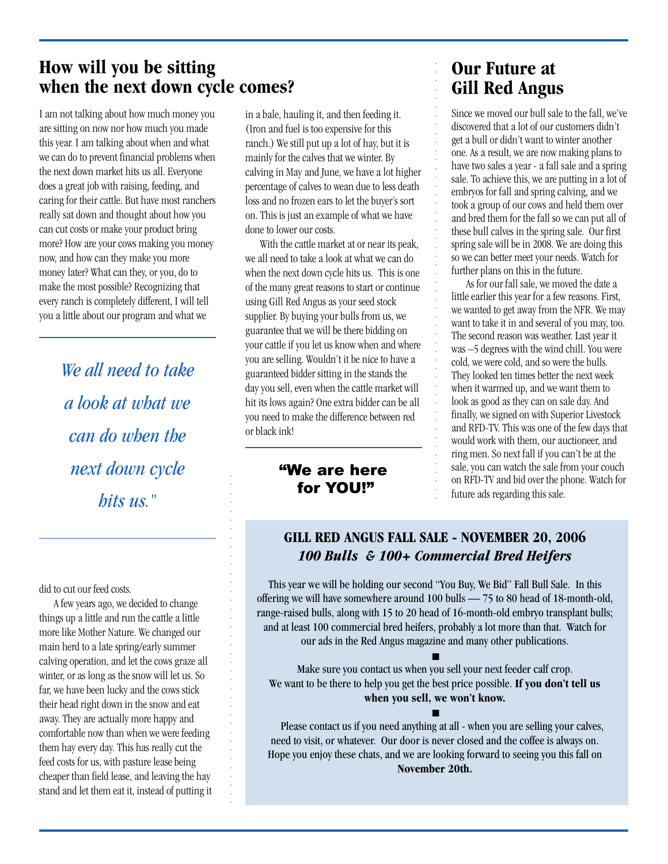## **How will you be sitting when the next down cycle comes?**

I am not talking about how much money you are sitting on now nor how much you made this year. I am talking about when and what we can do to prevent financial problems when the next down market hits us all. Everyone does a great job with raising, feeding, and caring for their cattle. But have most ranchers really sat down and thought about how you can cut costs or make your product bring more? How are your cows making you money now, and how can they make you more money later? What can they, or you, do to make the most possible? Recognizing that every ranch is completely different, I will tell you a little about our program and what we

> *We all need to take a look at what we can do when the next down cycle hits us."*

(Iron and fuel is too expensive for this ranch.) We still put up a lot of hay, but it is mainly for the calves that we winter. By calving in May and June, we have a lot higher percentage of calves to wean due to less death loss and no frozen ears to let the buyer's sort on. This is just an example of what we have done to lower our costs.

in a bale, hauling it, and then feeding it.

With the cattle market at or near its peak, we all need to take a look at what we can do when the next down cycle hits us. This is one of the many great reasons to start or continue using Gill Red Angus as your seed stock supplier. By buying your bulls from us, we guarantee that we will be there bidding on your cattle if you let us know when and where you are selling. Wouldn't it be nice to have a guaranteed bidder sitting in the stands the day you sell, even when the cattle market will hit its lows again? One extra bidder can be all you need to make the difference between red or black ink!

## "We are here for YOU!"

○○○○○○○○○○○○○○○○○○○

○○○○○○○○○○○○○○○○○○○

## **Our Future at Gill Red Angus**

Since we moved our bull sale to the fall, we've discovered that a lot of our customers didn't get a bull or didn't want to winter another one. As a result, we are now making plans to have two sales a year - a fall sale and a spring sale. To achieve this, we are putting in a lot of embryos for fall and spring calving, and we took a group of our cows and held them over and bred them for the fall so we can put all of these bull calves in the spring sale. Our first spring sale will be in 2008. We are doing this so we can better meet your needs. Watch for further plans on this in the future.

As for our fall sale, we moved the date a little earlier this year for a few reasons. First, we wanted to get away from the NFR. We may want to take it in and several of you may, too. The second reason was weather. Last year it was –5 degrees with the wind chill. You were cold, we were cold, and so were the bulls. They looked ten times better the next week when it warmed up, and we want them to look as good as they can on sale day. And finally, we signed on with Superior Livestock and RFD-TV. This was one of the few days that would work with them, our auctioneer, and ring men. So next fall if you can't be at the sale, you can watch the sale from your couch on RFD-TV and bid over the phone. Watch for future ads regarding this sale.

## **GILL RED ANGUS FALL SALE - NOVEMBER 20, 2006** *100 Bulls & 100+ Commercial Bred Heifers*

○○○○○○○○○○○○○○○○○○○○○

○○○○○○○○○○○○○○○○○○○○○○○○○○○○○○

This year we will be holding our second "You Buy, We Bid" Fall Bull Sale. In this offering we will have somewhere around 100 bulls — 75 to 80 head of 18-month-old, range-raised bulls, along with 15 to 20 head of 16-month-old embryo transplant bulls; and at least 100 commercial bred heifers, probably a lot more than that. Watch for our ads in the Red Angus magazine and many other publications.

Make sure you contact us when you sell your next feeder calf crop. We want to be there to help you get the best price possible. **If you don't tell us when you sell, we won't know.**

■

■ Please contact us if you need anything at all - when you are selling your calves, need to visit, or whatever. Our door is never closed and the coffee is always on. Hope you enjoy these chats, and we are looking forward to seeing you this fall on **November 20th.**

did to cut our feed costs.

A few years ago, we decided to change things up a little and run the cattle a little more like Mother Nature. We changed our main herd to a late spring/early summer calving operation, and let the cows graze all winter, or as long as the snow will let us. So far, we have been lucky and the cows stick their head right down in the snow and eat away. They are actually more happy and comfortable now than when we were feeding them hay every day. This has really cut the feed costs for us, with pasture lease being cheaper than field lease, and leaving the hay stand and let them eat it, instead of putting it